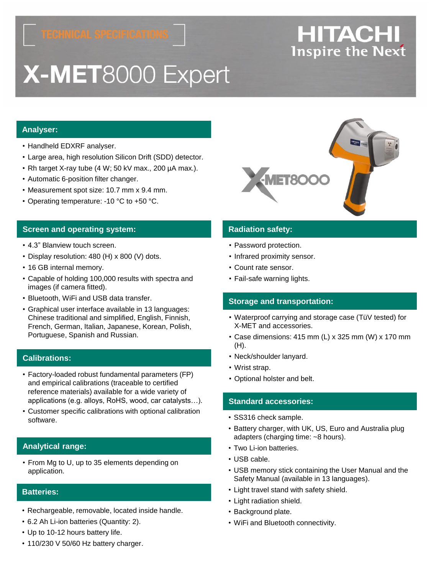# X-MET8000 Expert

### **Analyser:**

- Handheld EDXRF analyser.
- Large area, high resolution Silicon Drift (SDD) detector.
- Rh target X-ray tube (4 W; 50 kV max., 200 µA max.).
- Automatic 6-position filter changer.
- Measurement spot size: 10.7 mm x 9.4 mm.
- Operating temperature: -10 °C to +50 °C.

#### **Screen and operating system: Radiation safety: Radiation safety:**

- 4.3" Blanview touch screen.
- Display resolution: 480 (H) x 800 (V) dots.
- 16 GB internal memory.
- Capable of holding 100,000 results with spectra and images (if camera fitted).
- Bluetooth, WiFi and USB data transfer.
- Graphical user interface available in 13 languages: Chinese traditional and simplified, English, Finnish, French, German, Italian, Japanese, Korean, Polish, Portuguese, Spanish and Russian.

#### **Calibrations:**

- Factory-loaded robust fundamental parameters (FP) and empirical calibrations (traceable to certified reference materials) available for a wide variety of applications (e.g. alloys, RoHS, wood, car catalysts…).
- Customer specific calibrations with optional calibration software.

#### **Analytical range:**

• From Mg to U, up to 35 elements depending on application.

#### **Batteries:**

- Rechargeable, removable, located inside handle.
- 6.2 Ah Li-ion batteries (Quantity: 2).
- Up to 10-12 hours battery life.

#### • 110/230 V 50/60 Hz battery charger.

- Password protection.
- Infrared proximity sensor.
- Count rate sensor.
- Fail-safe warning lights.

#### **Storage and transportation:**

- Waterproof carrying and storage case (TüV tested) for X-MET and accessories.
- Case dimensions: 415 mm (L) x 325 mm (W) x 170 mm (H).
- Neck/shoulder lanyard.
- Wrist strap.
- Optional holster and belt.

#### **Standard accessories:**

- SS316 check sample.
- Battery charger, with UK, US, Euro and Australia plug adapters (charging time: ~8 hours).
- Two Li-ion batteries.
- USB cable.
- USB memory stick containing the User Manual and the Safety Manual (available in 13 languages).
- Light travel stand with safety shield.
- Light radiation shield.
- Background plate.
- WiFi and Bluetooth connectivity.



## **HITACHI Inspire the Next**